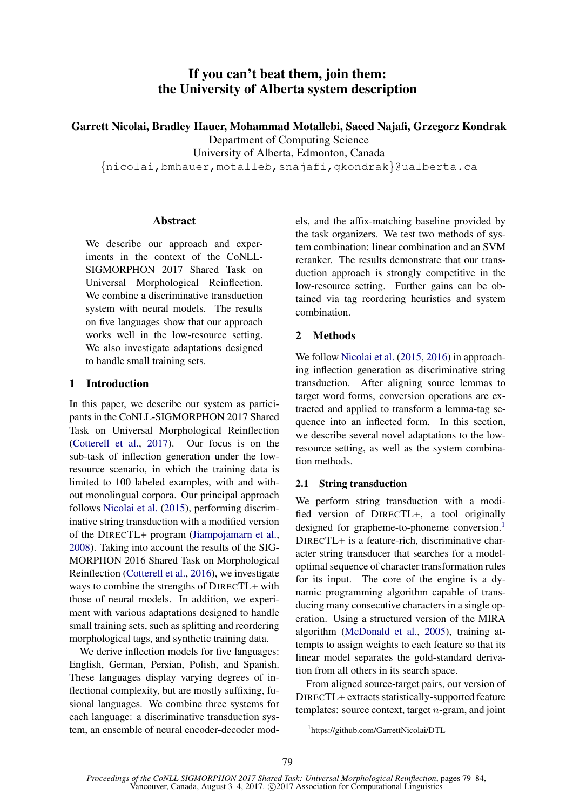# If you can't beat them, join them: the University of Alberta system description

Garrett Nicolai, Bradley Hauer, Mohammad Motallebi, Saeed Najafi, Grzegorz Kondrak

Department of Computing Science

University of Alberta, Edmonton, Canada

{nicolai,bmhauer,motalleb,snajafi,gkondrak}@ualberta.ca

## Abstract

We describe our approach and experiments in the context of the CoNLL-SIGMORPHON 2017 Shared Task on Universal Morphological Reinflection. We combine a discriminative transduction system with neural models. The results on five languages show that our approach works well in the low-resource setting. We also investigate adaptations designed to handle small training sets.

# 1 Introduction

In this paper, we describe our system as participants in the CoNLL-SIGMORPHON 2017 Shared Task on Universal Morphological Reinflection (Cotterell et al., 2017). Our focus is on the sub-task of inflection generation under the lowresource scenario, in which the training data is limited to 100 labeled examples, with and without monolingual corpora. Our principal approach follows Nicolai et al. (2015), performing discriminative string transduction with a modified version of the DIRECTL+ program (Jiampojamarn et al., 2008). Taking into account the results of the SIG-MORPHON 2016 Shared Task on Morphological Reinflection (Cotterell et al., 2016), we investigate ways to combine the strengths of DIRECTL+ with those of neural models. In addition, we experiment with various adaptations designed to handle small training sets, such as splitting and reordering morphological tags, and synthetic training data.

We derive inflection models for five languages: English, German, Persian, Polish, and Spanish. These languages display varying degrees of inflectional complexity, but are mostly suffixing, fusional languages. We combine three systems for each language: a discriminative transduction system, an ensemble of neural encoder-decoder models, and the affix-matching baseline provided by the task organizers. We test two methods of system combination: linear combination and an SVM reranker. The results demonstrate that our transduction approach is strongly competitive in the low-resource setting. Further gains can be obtained via tag reordering heuristics and system combination.

# 2 Methods

We follow Nicolai et al. (2015, 2016) in approaching inflection generation as discriminative string transduction. After aligning source lemmas to target word forms, conversion operations are extracted and applied to transform a lemma-tag sequence into an inflected form. In this section, we describe several novel adaptations to the lowresource setting, as well as the system combination methods.

## 2.1 String transduction

We perform string transduction with a modified version of DIRECTL+, a tool originally designed for grapheme-to-phoneme conversion.<sup>1</sup> DIRECTL+ is a feature-rich, discriminative character string transducer that searches for a modeloptimal sequence of character transformation rules for its input. The core of the engine is a dynamic programming algorithm capable of transducing many consecutive characters in a single operation. Using a structured version of the MIRA algorithm (McDonald et al., 2005), training attempts to assign weights to each feature so that its linear model separates the gold-standard derivation from all others in its search space.

From aligned source-target pairs, our version of DIRECTL+ extracts statistically-supported feature templates: source context, target n-gram, and joint

<sup>1</sup> https://github.com/GarrettNicolai/DTL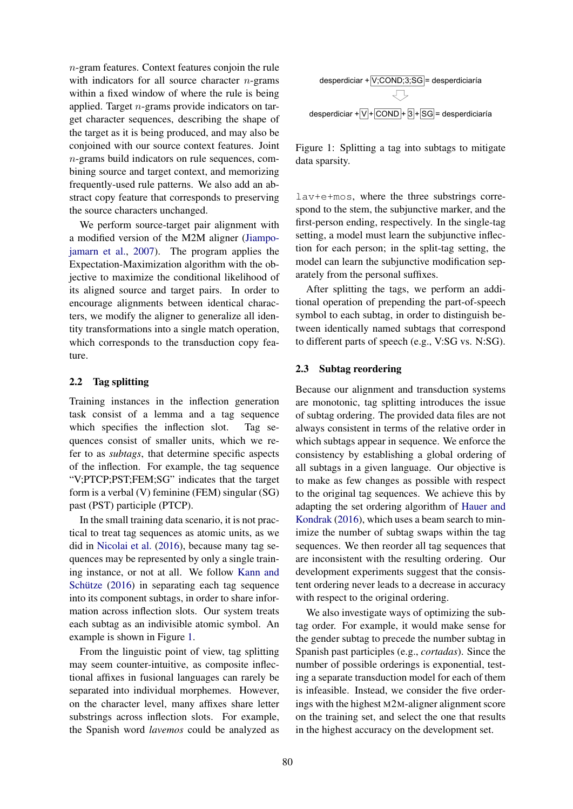n-gram features. Context features conjoin the rule with indicators for all source character  $n$ -grams within a fixed window of where the rule is being applied. Target n-grams provide indicators on target character sequences, describing the shape of the target as it is being produced, and may also be conjoined with our source context features. Joint n-grams build indicators on rule sequences, combining source and target context, and memorizing frequently-used rule patterns. We also add an abstract copy feature that corresponds to preserving the source characters unchanged.

We perform source-target pair alignment with a modified version of the M2M aligner (Jiampojamarn et al., 2007). The program applies the Expectation-Maximization algorithm with the objective to maximize the conditional likelihood of its aligned source and target pairs. In order to encourage alignments between identical characters, we modify the aligner to generalize all identity transformations into a single match operation, which corresponds to the transduction copy feature.

### 2.2 Tag splitting

Training instances in the inflection generation task consist of a lemma and a tag sequence which specifies the inflection slot. Tag sequences consist of smaller units, which we refer to as *subtags*, that determine specific aspects of the inflection. For example, the tag sequence "V;PTCP;PST;FEM;SG" indicates that the target form is a verbal (V) feminine (FEM) singular (SG) past (PST) participle (PTCP).

In the small training data scenario, it is not practical to treat tag sequences as atomic units, as we did in Nicolai et al. (2016), because many tag sequences may be represented by only a single training instance, or not at all. We follow Kann and Schütze  $(2016)$  in separating each tag sequence into its component subtags, in order to share information across inflection slots. Our system treats each subtag as an indivisible atomic symbol. An example is shown in Figure 1.

From the linguistic point of view, tag splitting may seem counter-intuitive, as composite inflectional affixes in fusional languages can rarely be separated into individual morphemes. However, on the character level, many affixes share letter substrings across inflection slots. For example, the Spanish word *lavemos* could be analyzed as



Figure 1: Splitting a tag into subtags to mitigate data sparsity.

lav+e+mos, where the three substrings correspond to the stem, the subjunctive marker, and the first-person ending, respectively. In the single-tag setting, a model must learn the subjunctive inflection for each person; in the split-tag setting, the model can learn the subjunctive modification separately from the personal suffixes.

After splitting the tags, we perform an additional operation of prepending the part-of-speech symbol to each subtag, in order to distinguish between identically named subtags that correspond to different parts of speech (e.g., V:SG vs. N:SG).

## 2.3 Subtag reordering

Because our alignment and transduction systems are monotonic, tag splitting introduces the issue of subtag ordering. The provided data files are not always consistent in terms of the relative order in which subtags appear in sequence. We enforce the consistency by establishing a global ordering of all subtags in a given language. Our objective is to make as few changes as possible with respect to the original tag sequences. We achieve this by adapting the set ordering algorithm of Hauer and Kondrak (2016), which uses a beam search to minimize the number of subtag swaps within the tag sequences. We then reorder all tag sequences that are inconsistent with the resulting ordering. Our development experiments suggest that the consistent ordering never leads to a decrease in accuracy with respect to the original ordering.

We also investigate ways of optimizing the subtag order. For example, it would make sense for the gender subtag to precede the number subtag in Spanish past participles (e.g., *cortadas*). Since the number of possible orderings is exponential, testing a separate transduction model for each of them is infeasible. Instead, we consider the five orderings with the highest M2M-aligner alignment score on the training set, and select the one that results in the highest accuracy on the development set.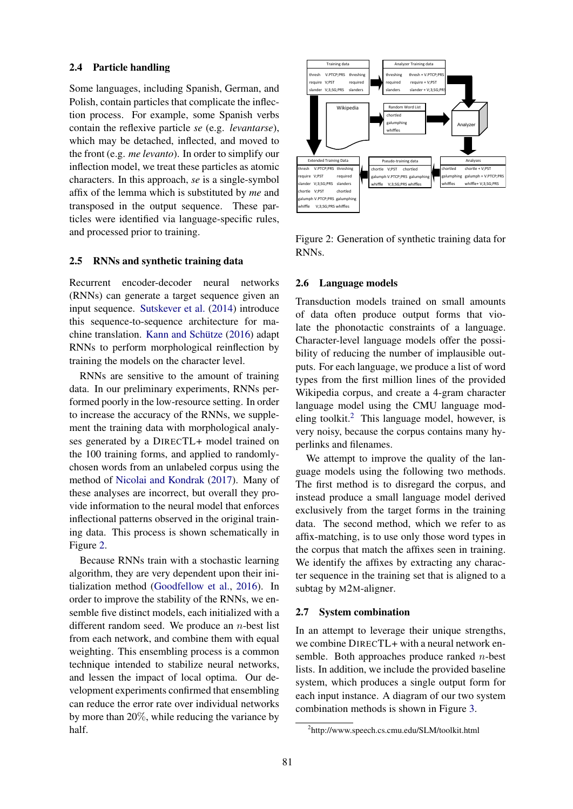### 2.4 Particle handling

Some languages, including Spanish, German, and Polish, contain particles that complicate the inflection process. For example, some Spanish verbs contain the reflexive particle *se* (e.g. *levantarse*), which may be detached, inflected, and moved to the front (e.g. *me levanto*). In order to simplify our inflection model, we treat these particles as atomic characters. In this approach, *se* is a single-symbol affix of the lemma which is substituted by *me* and transposed in the output sequence. These particles were identified via language-specific rules, and processed prior to training.

#### 2.5 RNNs and synthetic training data

Recurrent encoder-decoder neural networks (RNNs) can generate a target sequence given an input sequence. Sutskever et al. (2014) introduce this sequence-to-sequence architecture for machine translation. Kann and Schütze  $(2016)$  adapt RNNs to perform morphological reinflection by training the models on the character level.

RNNs are sensitive to the amount of training data. In our preliminary experiments, RNNs performed poorly in the low-resource setting. In order to increase the accuracy of the RNNs, we supplement the training data with morphological analyses generated by a DIRECTL+ model trained on the 100 training forms, and applied to randomlychosen words from an unlabeled corpus using the method of Nicolai and Kondrak (2017). Many of these analyses are incorrect, but overall they provide information to the neural model that enforces inflectional patterns observed in the original training data. This process is shown schematically in Figure 2.

Because RNNs train with a stochastic learning algorithm, they are very dependent upon their initialization method (Goodfellow et al., 2016). In order to improve the stability of the RNNs, we ensemble five distinct models, each initialized with a different random seed. We produce an  $n$ -best list from each network, and combine them with equal weighting. This ensembling process is a common technique intended to stabilize neural networks, and lessen the impact of local optima. Our development experiments confirmed that ensembling can reduce the error rate over individual networks by more than 20%, while reducing the variance by half.



Figure 2: Generation of synthetic training data for RNNs.

#### 2.6 Language models

Transduction models trained on small amounts of data often produce output forms that violate the phonotactic constraints of a language. Character-level language models offer the possibility of reducing the number of implausible outputs. For each language, we produce a list of word types from the first million lines of the provided Wikipedia corpus, and create a 4-gram character language model using the CMU language modeling toolkit. $2$  This language model, however, is very noisy, because the corpus contains many hyperlinks and filenames.

We attempt to improve the quality of the language models using the following two methods. The first method is to disregard the corpus, and instead produce a small language model derived exclusively from the target forms in the training data. The second method, which we refer to as affix-matching, is to use only those word types in the corpus that match the affixes seen in training. We identify the affixes by extracting any character sequence in the training set that is aligned to a subtag by M2M-aligner.

#### 2.7 System combination

In an attempt to leverage their unique strengths, we combine DIRECTL+ with a neural network ensemble. Both approaches produce ranked  $n$ -best lists. In addition, we include the provided baseline system, which produces a single output form for each input instance. A diagram of our two system combination methods is shown in Figure 3.

<sup>2</sup> http://www.speech.cs.cmu.edu/SLM/toolkit.html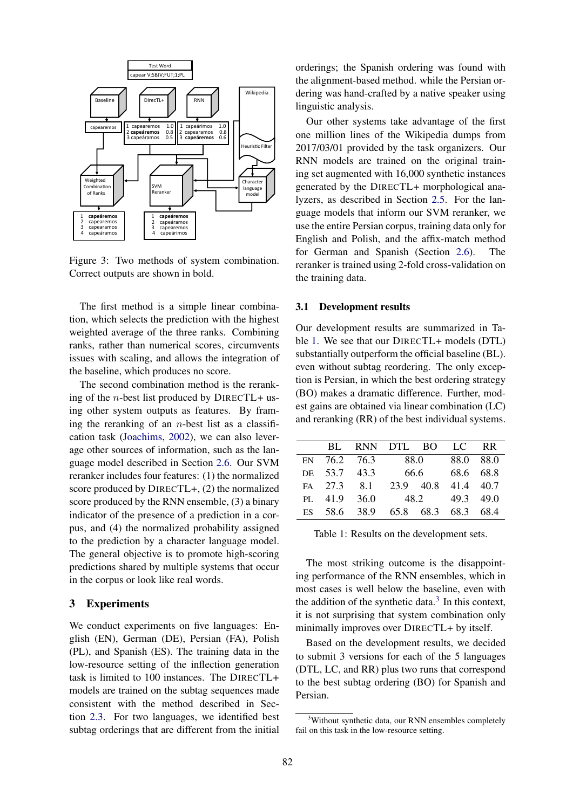

Figure 3: Two methods of system combination. Correct outputs are shown in bold.

The first method is a simple linear combination, which selects the prediction with the highest weighted average of the three ranks. Combining ranks, rather than numerical scores, circumvents issues with scaling, and allows the integration of the baseline, which produces no score.

The second combination method is the reranking of the *n*-best list produced by DIRECTL+ using other system outputs as features. By framing the reranking of an  $n$ -best list as a classification task (Joachims, 2002), we can also leverage other sources of information, such as the language model described in Section 2.6. Our SVM reranker includes four features: (1) the normalized score produced by DIRECTL+, (2) the normalized score produced by the RNN ensemble, (3) a binary indicator of the presence of a prediction in a corpus, and (4) the normalized probability assigned to the prediction by a character language model. The general objective is to promote high-scoring predictions shared by multiple systems that occur in the corpus or look like real words.

### 3 Experiments

We conduct experiments on five languages: English (EN), German (DE), Persian (FA), Polish (PL), and Spanish (ES). The training data in the low-resource setting of the inflection generation task is limited to 100 instances. The DIRECTL+ models are trained on the subtag sequences made consistent with the method described in Section 2.3. For two languages, we identified best subtag orderings that are different from the initial orderings; the Spanish ordering was found with the alignment-based method. while the Persian ordering was hand-crafted by a native speaker using linguistic analysis.

Our other systems take advantage of the first one million lines of the Wikipedia dumps from 2017/03/01 provided by the task organizers. Our RNN models are trained on the original training set augmented with 16,000 synthetic instances generated by the DIRECTL+ morphological analyzers, as described in Section 2.5. For the language models that inform our SVM reranker, we use the entire Persian corpus, training data only for English and Polish, and the affix-match method for German and Spanish (Section 2.6). The reranker is trained using 2-fold cross-validation on the training data.

#### 3.1 Development results

Our development results are summarized in Table 1. We see that our DIRECTL+ models (DTL) substantially outperform the official baseline (BL). even without subtag reordering. The only exception is Persian, in which the best ordering strategy (BO) makes a dramatic difference. Further, modest gains are obtained via linear combination (LC) and reranking (RR) of the best individual systems.

|                 |              | BL RNN DTL BO |           |           | TC        | RR   |
|-----------------|--------------|---------------|-----------|-----------|-----------|------|
|                 | EN 76.2 76.3 |               | 88.0      |           | 88.0 88.0 |      |
|                 | DE 53.7 43.3 |               | 66.6      |           | 68.6 68.8 |      |
|                 | FA 27.3 8.1  |               | 23.9 40.8 |           | 41.4 40.7 |      |
|                 | PL 41.9 36.0 |               | 48.2      |           | 49.3 49.0 |      |
| ES <sup>1</sup> |              | 58.6 38.9     |           | 65.8 68.3 | 68.3      | 68.4 |

Table 1: Results on the development sets.

The most striking outcome is the disappointing performance of the RNN ensembles, which in most cases is well below the baseline, even with the addition of the synthetic data. $3$  In this context, it is not surprising that system combination only minimally improves over DIRECTL+ by itself.

Based on the development results, we decided to submit 3 versions for each of the 5 languages (DTL, LC, and RR) plus two runs that correspond to the best subtag ordering (BO) for Spanish and Persian.

<sup>&</sup>lt;sup>3</sup>Without synthetic data, our RNN ensembles completely fail on this task in the low-resource setting.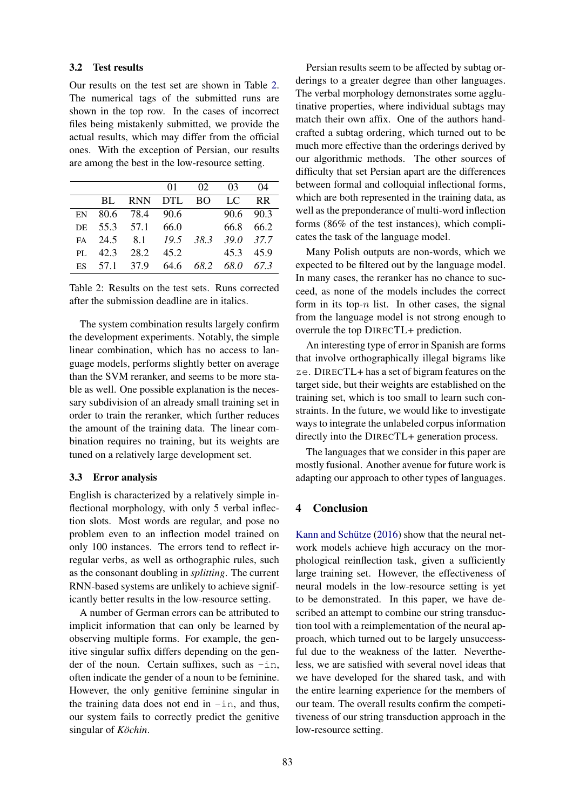#### 3.2 Test results

Our results on the test set are shown in Table 2. The numerical tags of the submitted runs are shown in the top row. In the cases of incorrect files being mistakenly submitted, we provide the actual results, which may differ from the official ones. With the exception of Persian, our results are among the best in the low-resource setting.

|  |                   |    | 04                                                                                                                                                                                   |
|--|-------------------|----|--------------------------------------------------------------------------------------------------------------------------------------------------------------------------------------|
|  |                   |    |                                                                                                                                                                                      |
|  |                   |    |                                                                                                                                                                                      |
|  |                   |    |                                                                                                                                                                                      |
|  |                   |    |                                                                                                                                                                                      |
|  |                   |    |                                                                                                                                                                                      |
|  |                   |    |                                                                                                                                                                                      |
|  | DE 55.3 57.1 66.0 | 01 | 02 03<br>BL RNN DTL BO LC RR<br>90.6 90.3<br>EN 80.6 78.4 90.6<br>66.8 66.2<br>FA 24.5 8.1 19.5 38.3 39.0 37.7<br>PL 42.3 28.2 45.2<br>45.3 45.9<br>ES 57.1 37.9 64.6 68.2 68.0 67.3 |

Table 2: Results on the test sets. Runs corrected after the submission deadline are in italics.

The system combination results largely confirm the development experiments. Notably, the simple linear combination, which has no access to language models, performs slightly better on average than the SVM reranker, and seems to be more stable as well. One possible explanation is the necessary subdivision of an already small training set in order to train the reranker, which further reduces the amount of the training data. The linear combination requires no training, but its weights are tuned on a relatively large development set.

### 3.3 Error analysis

English is characterized by a relatively simple inflectional morphology, with only 5 verbal inflection slots. Most words are regular, and pose no problem even to an inflection model trained on only 100 instances. The errors tend to reflect irregular verbs, as well as orthographic rules, such as the consonant doubling in *splitting*. The current RNN-based systems are unlikely to achieve significantly better results in the low-resource setting.

A number of German errors can be attributed to implicit information that can only be learned by observing multiple forms. For example, the genitive singular suffix differs depending on the gender of the noun. Certain suffixes, such as  $-$ in, often indicate the gender of a noun to be feminine. However, the only genitive feminine singular in the training data does not end in  $-$ in, and thus, our system fails to correctly predict the genitive singular of *Köchin*.

Persian results seem to be affected by subtag orderings to a greater degree than other languages. The verbal morphology demonstrates some agglutinative properties, where individual subtags may match their own affix. One of the authors handcrafted a subtag ordering, which turned out to be much more effective than the orderings derived by our algorithmic methods. The other sources of difficulty that set Persian apart are the differences between formal and colloquial inflectional forms, which are both represented in the training data, as well as the preponderance of multi-word inflection forms (86% of the test instances), which complicates the task of the language model.

Many Polish outputs are non-words, which we expected to be filtered out by the language model. In many cases, the reranker has no chance to succeed, as none of the models includes the correct form in its top- $n$  list. In other cases, the signal from the language model is not strong enough to overrule the top DIRECTL+ prediction.

An interesting type of error in Spanish are forms that involve orthographically illegal bigrams like ze. DIRECTL+ has a set of bigram features on the target side, but their weights are established on the training set, which is too small to learn such constraints. In the future, we would like to investigate ways to integrate the unlabeled corpus information directly into the DIRECTL+ generation process.

The languages that we consider in this paper are mostly fusional. Another avenue for future work is adapting our approach to other types of languages.

#### 4 Conclusion

Kann and Schütze  $(2016)$  show that the neural network models achieve high accuracy on the morphological reinflection task, given a sufficiently large training set. However, the effectiveness of neural models in the low-resource setting is yet to be demonstrated. In this paper, we have described an attempt to combine our string transduction tool with a reimplementation of the neural approach, which turned out to be largely unsuccessful due to the weakness of the latter. Nevertheless, we are satisfied with several novel ideas that we have developed for the shared task, and with the entire learning experience for the members of our team. The overall results confirm the competitiveness of our string transduction approach in the low-resource setting.